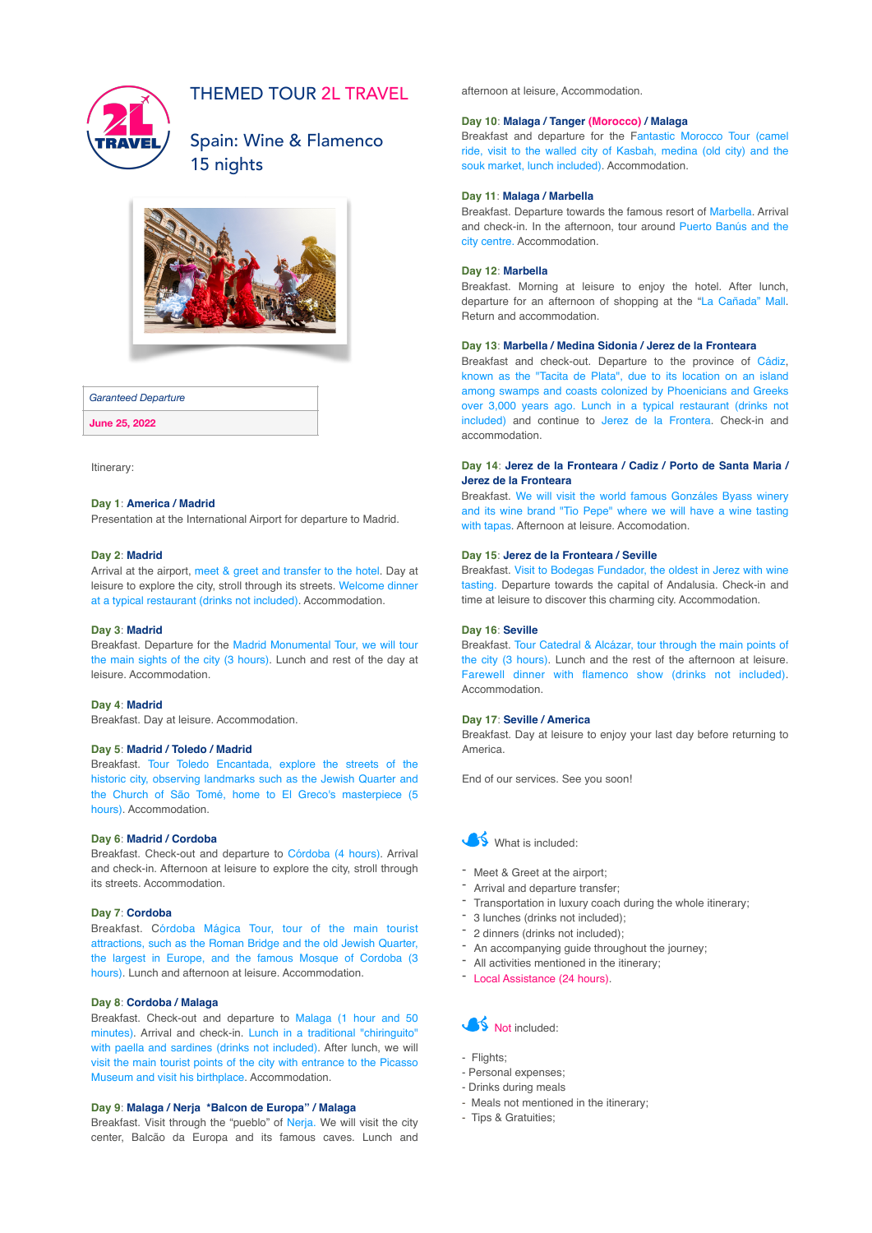

## THEMED TOUR 2L TRAVEL

Spain: Wine & Flamenco 15 nights



#### *Garanteed Departure*

**June 25, 2022**

Itinerary:

#### **Day 1**: **America / Madrid**

Presentation at the International Airport for departure to Madrid.

#### **Day 2**: **Madrid**

Arrival at the airport, meet & greet and transfer to the hotel. Day at leisure to explore the city, stroll through its streets. Welcome dinner at a typical restaurant (drinks not included). Accommodation.

### **Day 3**: **Madrid**

Breakfast. Departure for the Madrid Monumental Tour, we will tour the main sights of the city (3 hours). Lunch and rest of the day at leisure. Accommodation.

## **Day 4**: **Madrid**

Breakfast. Day at leisure. Accommodation.

#### **Day 5**: **Madrid / Toledo / Madrid**

Breakfast. Tour Toledo Encantada, explore the streets of the historic city, observing landmarks such as the Jewish Quarter and the Church of São Tomé, home to El Greco's masterpiece (5 hours). Accommodation.

## **Day 6**: **Madrid / Cordoba**

Breakfast. Check-out and departure to Córdoba (4 hours). Arrival and check-in. Afternoon at leisure to explore the city, stroll through its streets. Accommodation.

#### **Day 7**: **Cordoba**

Breakfast. Córdoba Mágica Tour, tour of the main tourist attractions, such as the Roman Bridge and the old Jewish Quarter, the largest in Europe, and the famous Mosque of Cordoba (3 hours). Lunch and afternoon at leisure. Accommodation.

## **Day 8**: **Cordoba / Malaga**

Breakfast. Check-out and departure to Malaga (1 hour and 50 minutes). Arrival and check-in. Lunch in a traditional "chiringuito" with paella and sardines (drinks not included). After lunch, we will visit the main tourist points of the city with entrance to the Picasso Museum and visit his birthplace. Accommodation.

#### **Day 9**: **Malaga / Nerja \*Balcon de Europa" / Malaga**

Breakfast. Visit through the "pueblo" of Nerja. We will visit the city center, Balcão da Europa and its famous caves. Lunch and afternoon at leisure, Accommodation.

#### **Day 10**: **Malaga / Tanger (Morocco) / Malaga**

Breakfast and departure for the Fantastic Morocco Tour (camel ride, visit to the walled city of Kasbah, medina (old city) and the souk market, lunch included). Accommodation.

#### **Day 11**: **Malaga / Marbella**

Breakfast. Departure towards the famous resort of Marbella. Arrival and check-in. In the afternoon, tour around Puerto Banús and the city centre. Accommodation.

#### **Day 12**: **Marbella**

Breakfast. Morning at leisure to enjoy the hotel. After lunch, departure for an afternoon of shopping at the "La Cañada" Mall. Return and accommodation.

## **Day 13**: **Marbella / Medina Sidonia / Jerez de la Fronteara**

Breakfast and check-out. Departure to the province of Cádiz, known as the "Tacita de Plata", due to its location on an island among swamps and coasts colonized by Phoenicians and Greeks over 3,000 years ago. Lunch in a typical restaurant (drinks not included) and continue to Jerez de la Frontera. Check-in and accommodation.

### **Day 14**: **Jerez de la Fronteara / Cadiz / Porto de Santa Maria / Jerez de la Fronteara**

Breakfast. We will visit the world famous Gonzáles Byass winery and its wine brand "Tio Pepe" where we will have a wine tasting with tapas. Afternoon at leisure. Accomodation.

### **Day 15**: **Jerez de la Fronteara / Seville**

Breakfast. Visit to Bodegas Fundador, the oldest in Jerez with wine tasting. Departure towards the capital of Andalusia. Check-in and time at leisure to discover this charming city. Accommodation.

#### **Day 16**: **Seville**

Breakfast. Tour Catedral & Alcázar, tour through the main points of the city (3 hours). Lunch and the rest of the afternoon at leisure. Farewell dinner with flamenco show (drinks not included). Accommodation.

## **Day 17**: **Seville / America**

Breakfast. Day at leisure to enjoy your last day before returning to America.

End of our services. See you soon!



- Meet & Greet at the airport;
- Arrival and departure transfer;
- Transportation in luxury coach during the whole itinerary;
- 3 lunches (drinks not included);
- 2 dinners (drinks not included);
- An accompanying guide throughout the journey;
- All activities mentioned in the itinerary;
- Local Assistance (24 hours).



- Flights:
- Personal expenses;
- Drinks during meals
- Meals not mentioned in the itinerary;
- Tips & Gratuities;